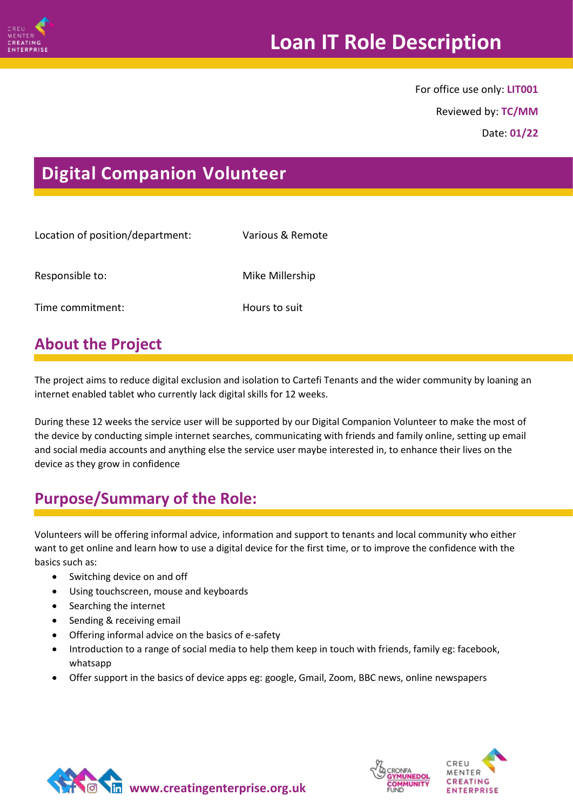

For office use only: **LIT001**

Reviewed by: **TC/MM**

Date: **01/22**

# **Digital Companion Volunteer**

| Location of position/department: | Various & Remote |
|----------------------------------|------------------|
| Responsible to:                  | Mike Millership  |
| Time commitment:                 | Hours to suit    |
|                                  |                  |

## **About the Project**

The project aims to reduce digital exclusion and isolation to Cartefi Tenants and the wider community by loaning an internet enabled tablet who currently lack digital skills for 12 weeks.

During these 12 weeks the service user will be supported by our Digital Companion Volunteer to make the most of the device by conducting simple internet searches, communicating with friends and family online, setting up email and social media accounts and anything else the service user maybe interested in, to enhance their lives on the device as they grow in confidence

## **Purpose/Summary of the Role:**

Volunteers will be offering informal advice, information and support to tenants and local community who either want to get online and learn how to use a digital device for the first time, or to improve the confidence with the basics such as:

- Switching device on and off
- Using touchscreen, mouse and keyboards
- Searching the internet
- Sending & receiving email
- Offering informal advice on the basics of e-safety
- Introduction to a range of social media to help them keep in touch with friends, family eg: facebook, whatsapp
- Offer support in the basics of device apps eg: google, Gmail, Zoom, BBC news, online newspapers